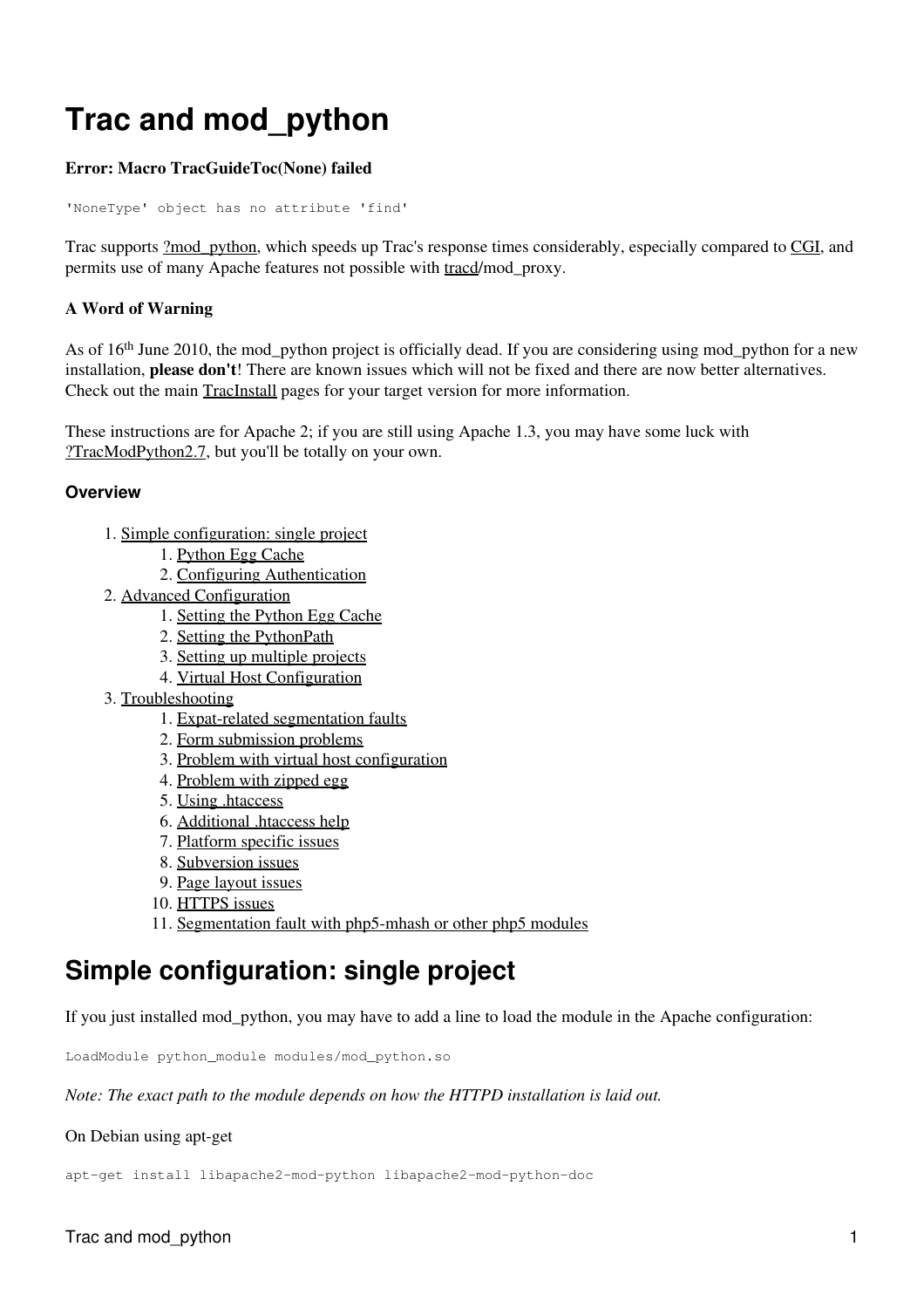# **Trac and mod\_python**

#### **Error: Macro TracGuideToc(None) failed**

'NoneType' object has no attribute 'find'

Trac supports [?mod\\_python](http://www.modpython.org/), which speeds up Trac's response times considerably, especially compared to CGI, and permits use of many Apache features not possible with tracd/mod\_proxy.

#### **A Word of Warning**

As of  $16<sup>th</sup>$  June 2010, the mod python project is officially dead. If you are considering using mod python for a new installation, **please don't**! There are known issues which will not be fixed and there are now better alternatives. Check out the main TracInstall pages for your target version for more information.

These instructions are for Apache 2; if you are still using Apache 1.3, you may have some luck with [?TracModPython2.7,](http://trac.edgewall.org/intertrac/wiki%3ATracModPython2.7) but you'll be totally on your own.

#### **Overview**

- 1. [Simple configuration: single project](#page-0-0)
	- 1. [Python Egg Cache](#page-1-0)
	- 2. [Configuring Authentication](#page-2-0)
- 2. [Advanced Configuration](#page-2-1)
	- 1. [Setting the Python Egg Cache](#page-2-2)
	- 2. [Setting the PythonPath](#page-2-3)
	- 3. [Setting up multiple projects](#page-2-4)
	- 4. [Virtual Host Configuration](#page-3-0)
- 3. [Troubleshooting](#page-4-0)
	- 1. [Expat-related segmentation faults](#page-4-1)
	- 2. [Form submission problems](#page-4-2)
	- 3. [Problem with virtual host configuration](#page-5-0)
	- 4. [Problem with zipped egg](#page-5-1)
	- 5. [Using .htaccess](#page-5-2)
	- 6. [Additional .htaccess help](#page-5-3)
	- 7. [Platform specific issues](#page-5-4)
	- 8. [Subversion issues](#page-6-0)
	- 9. [Page layout issues](#page-7-0)
	- 10. [HTTPS issues](#page-7-1)
	- 11. [Segmentation fault with php5-mhash or other php5 modules](#page-7-2)

## <span id="page-0-0"></span>**Simple configuration: single project**

If you just installed mod\_python, you may have to add a line to load the module in the Apache configuration:

LoadModule python\_module modules/mod\_python.so

*Note: The exact path to the module depends on how the HTTPD installation is laid out.*

#### On Debian using apt-get

apt-get install libapache2-mod-python libapache2-mod-python-doc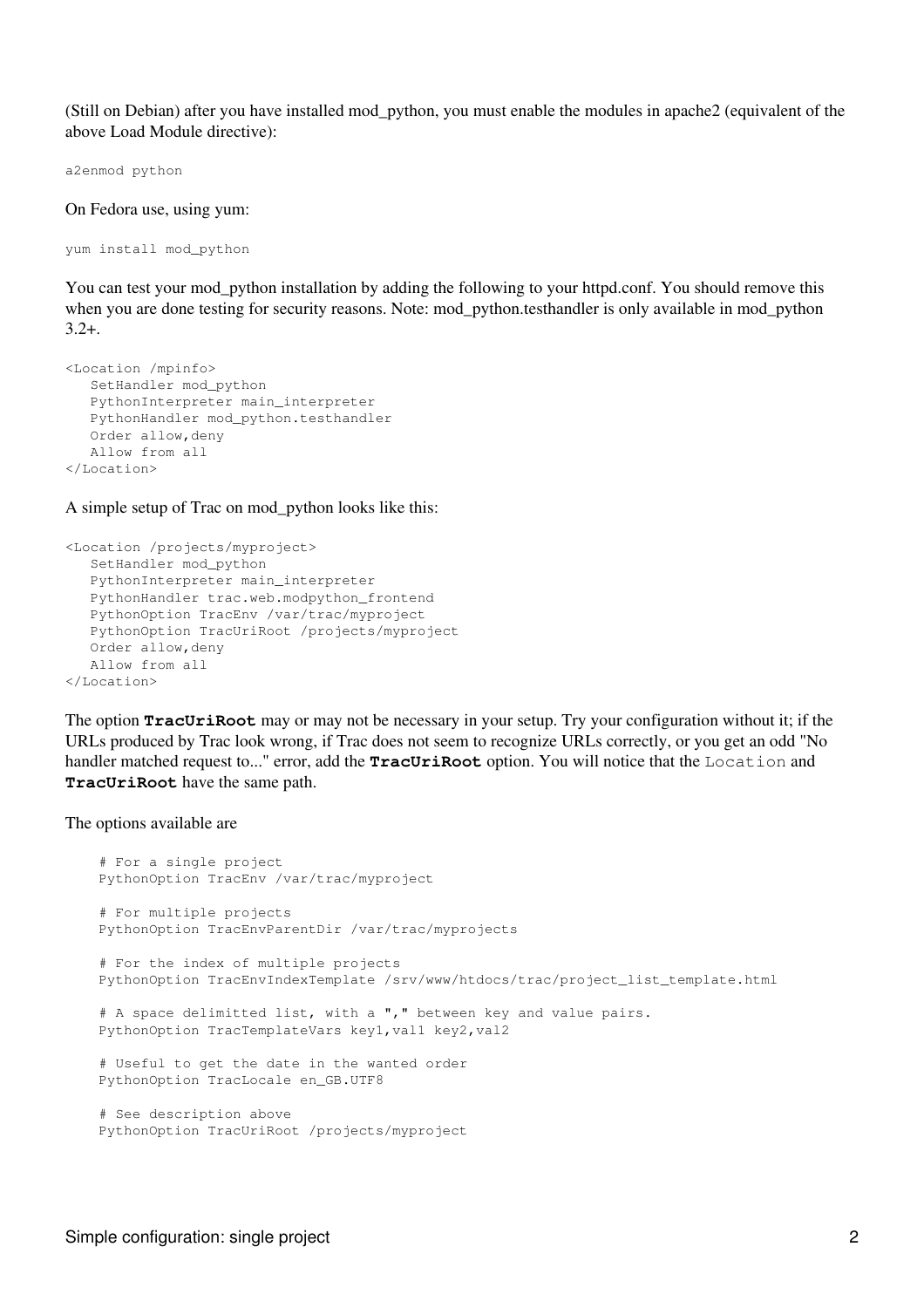(Still on Debian) after you have installed mod\_python, you must enable the modules in apache2 (equivalent of the above Load Module directive):

a2enmod python

On Fedora use, using yum:

yum install mod\_python

You can test your mod\_python installation by adding the following to your httpd.conf. You should remove this when you are done testing for security reasons. Note: mod python.testhandler is only available in mod python  $3.2 +$ .

```
<Location /mpinfo>
    SetHandler mod_python
    PythonInterpreter main_interpreter
    PythonHandler mod_python.testhandler
    Order allow,deny
    Allow from all
</Location>
```
A simple setup of Trac on mod\_python looks like this:

```
<Location /projects/myproject>
    SetHandler mod_python
    PythonInterpreter main_interpreter
    PythonHandler trac.web.modpython_frontend 
    PythonOption TracEnv /var/trac/myproject
   PythonOption TracUriRoot /projects/myproject
    Order allow,deny
    Allow from all
</Location>
```
The option **TracUriRoot** may or may not be necessary in your setup. Try your configuration without it; if the URLs produced by Trac look wrong, if Trac does not seem to recognize URLs correctly, or you get an odd "No handler matched request to..." error, add the **TracUriRoot** option. You will notice that the Location and **TracUriRoot** have the same path.

The options available are

```
 # For a single project
 PythonOption TracEnv /var/trac/myproject
 # For multiple projects
 PythonOption TracEnvParentDir /var/trac/myprojects
 # For the index of multiple projects
 PythonOption TracEnvIndexTemplate /srv/www/htdocs/trac/project_list_template.html
# A space delimitted list, with a "," between key and value pairs.
PythonOption TracTemplateVars key1, val1 key2, val2
 # Useful to get the date in the wanted order
 PythonOption TracLocale en_GB.UTF8
 # See description above 
 PythonOption TracUriRoot /projects/myproject
```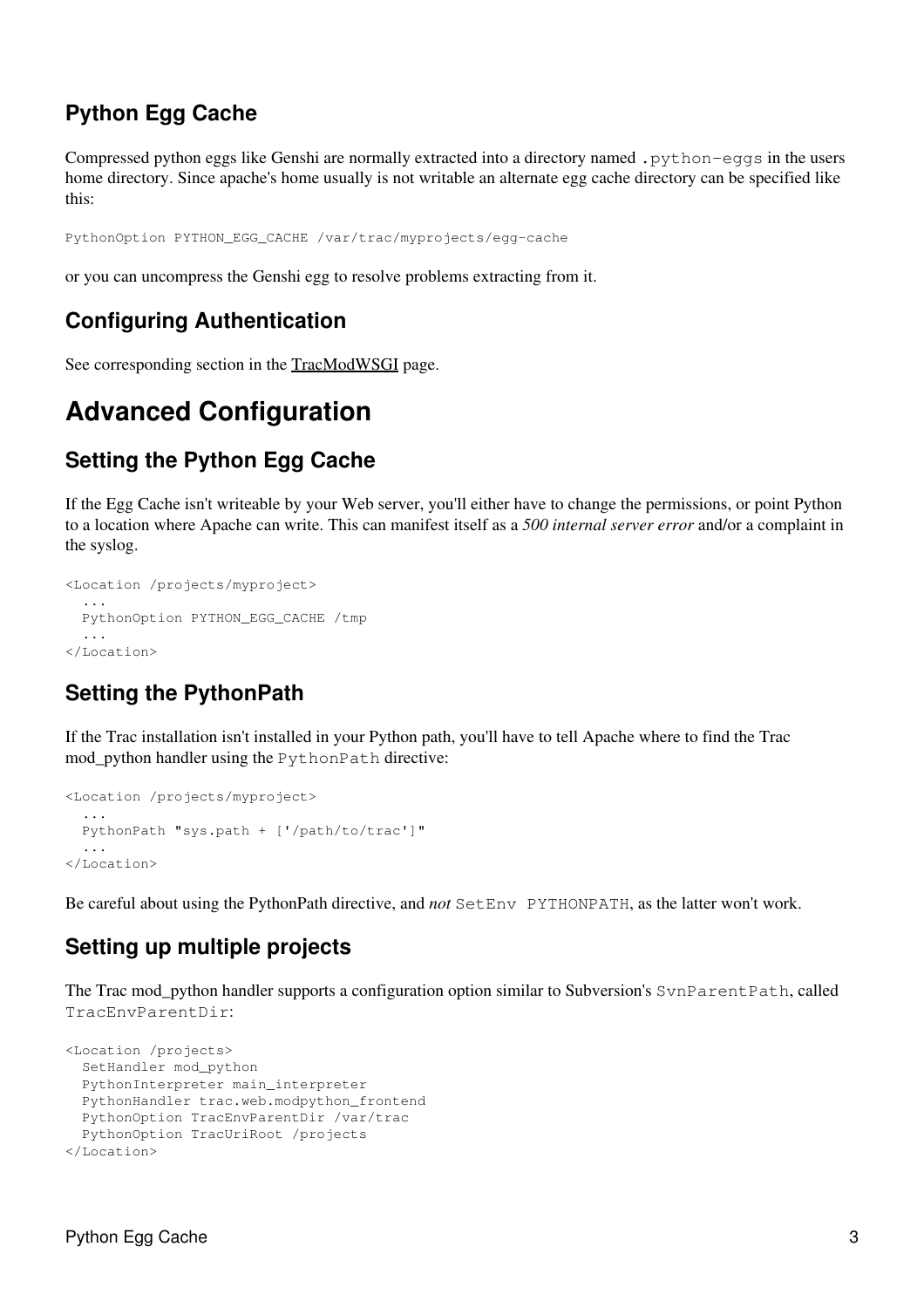## **Python Egg Cache**

Compressed python eggs like Genshi are normally extracted into a directory named .python-eggs in the users home directory. Since apache's home usually is not writable an alternate egg cache directory can be specified like this:

PythonOption PYTHON\_EGG\_CACHE /var/trac/myprojects/egg-cache

<span id="page-2-0"></span>or you can uncompress the Genshi egg to resolve problems extracting from it.

## **Configuring Authentication**

<span id="page-2-1"></span>See corresponding section in the [TracModWSGI](#page-2-0) page.

## **Advanced Configuration**

## <span id="page-2-2"></span>**Setting the Python Egg Cache**

If the Egg Cache isn't writeable by your Web server, you'll either have to change the permissions, or point Python to a location where Apache can write. This can manifest itself as a *500 internal server error* and/or a complaint in the syslog.

```
<Location /projects/myproject>
   ...
   PythonOption PYTHON_EGG_CACHE /tmp 
   ...
</Location>
```
## <span id="page-2-3"></span>**Setting the PythonPath**

If the Trac installation isn't installed in your Python path, you'll have to tell Apache where to find the Trac mod python handler using the PythonPath directive:

```
<Location /projects/myproject>
 ...
   PythonPath "sys.path + ['/path/to/trac']"
   ...
</Location>
```
<span id="page-2-4"></span>Be careful about using the PythonPath directive, and *not* SetEnv PYTHONPATH, as the latter won't work.

### **Setting up multiple projects**

The Trac mod python handler supports a configuration option similar to Subversion's SvnParentPath, called TracEnvParentDir:

```
<Location /projects>
   SetHandler mod_python
   PythonInterpreter main_interpreter
   PythonHandler trac.web.modpython_frontend 
   PythonOption TracEnvParentDir /var/trac
   PythonOption TracUriRoot /projects
</Location>
```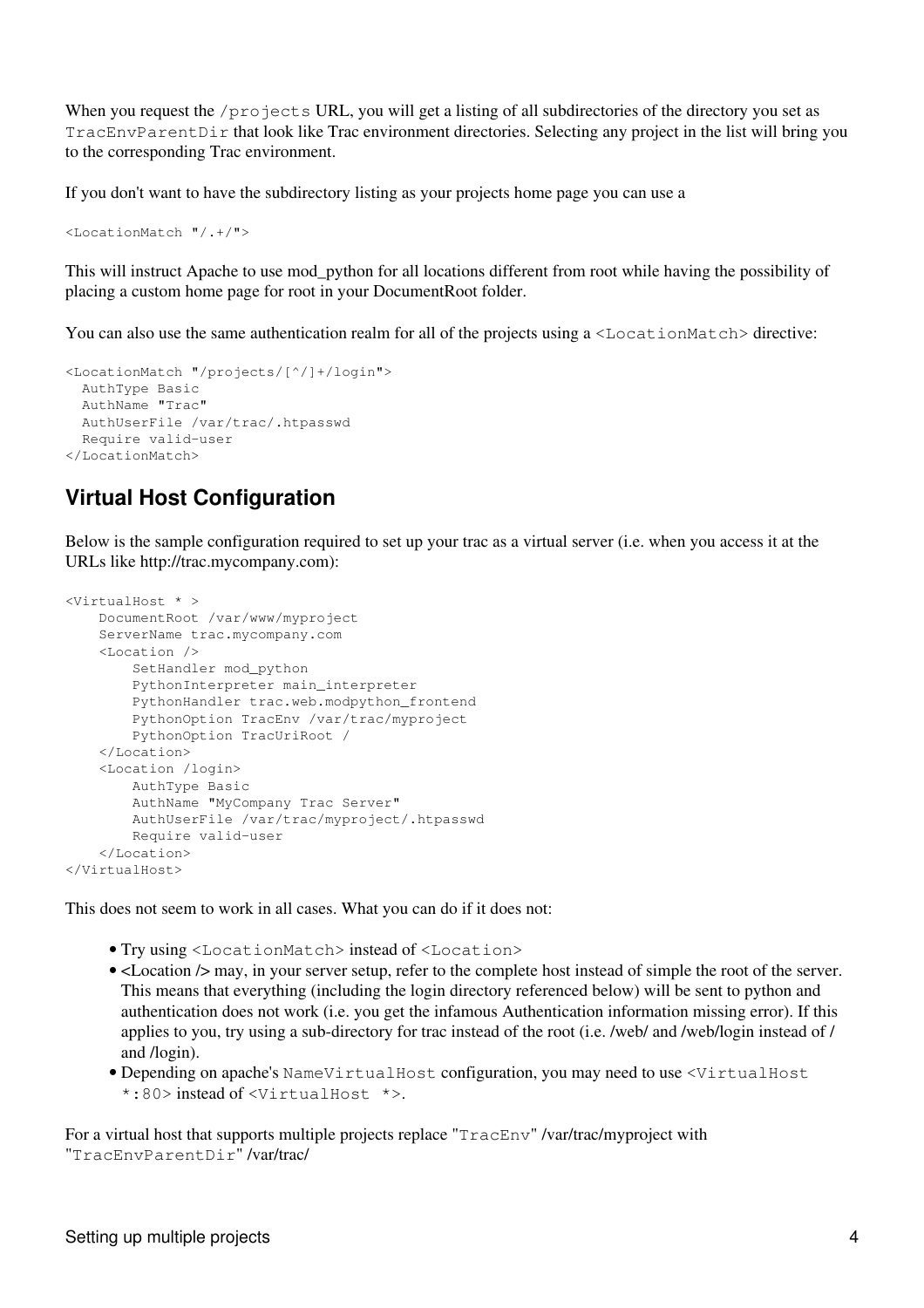When you request the /projects URL, you will get a listing of all subdirectories of the directory you set as TracEnvParentDir that look like Trac environment directories. Selecting any project in the list will bring you to the corresponding Trac environment.

If you don't want to have the subdirectory listing as your projects home page you can use a

<LocationMatch "/.+/">

This will instruct Apache to use mod\_python for all locations different from root while having the possibility of placing a custom home page for root in your DocumentRoot folder.

You can also use the same authentication realm for all of the projects using a  $\leq$ LocationMatch> directive:

```
<LocationMatch "/projects/[^/]+/login">
   AuthType Basic
   AuthName "Trac"
   AuthUserFile /var/trac/.htpasswd
   Require valid-user
</LocationMatch>
```
## <span id="page-3-0"></span>**Virtual Host Configuration**

Below is the sample configuration required to set up your trac as a virtual server (i.e. when you access it at the URLs like http://trac.mycompany.com):

```
<VirtualHost * >
     DocumentRoot /var/www/myproject
     ServerName trac.mycompany.com
    <Location />
         SetHandler mod_python
         PythonInterpreter main_interpreter
         PythonHandler trac.web.modpython_frontend
         PythonOption TracEnv /var/trac/myproject
        PythonOption TracUriRoot /
    </Location>
    <Location /login>
         AuthType Basic
         AuthName "MyCompany Trac Server"
         AuthUserFile /var/trac/myproject/.htpasswd
         Require valid-user
    </Location>
</VirtualHost>
```
This does not seem to work in all cases. What you can do if it does not:

- Try using <LocationMatch> instead of <Location>
- <Location  $\triangleright$  may, in your server setup, refer to the complete host instead of simple the root of the server. This means that everything (including the login directory referenced below) will be sent to python and authentication does not work (i.e. you get the infamous Authentication information missing error). If this applies to you, try using a sub-directory for trac instead of the root (i.e. /web/ and /web/login instead of / and /login).
- Depending on apache's NameVirtualHost configuration, you may need to use <VirtualHost \*:80> instead of <VirtualHost \*>.

For a virtual host that supports multiple projects replace "TracEnv" /var/trac/myproject with "TracEnvParentDir" /var/trac/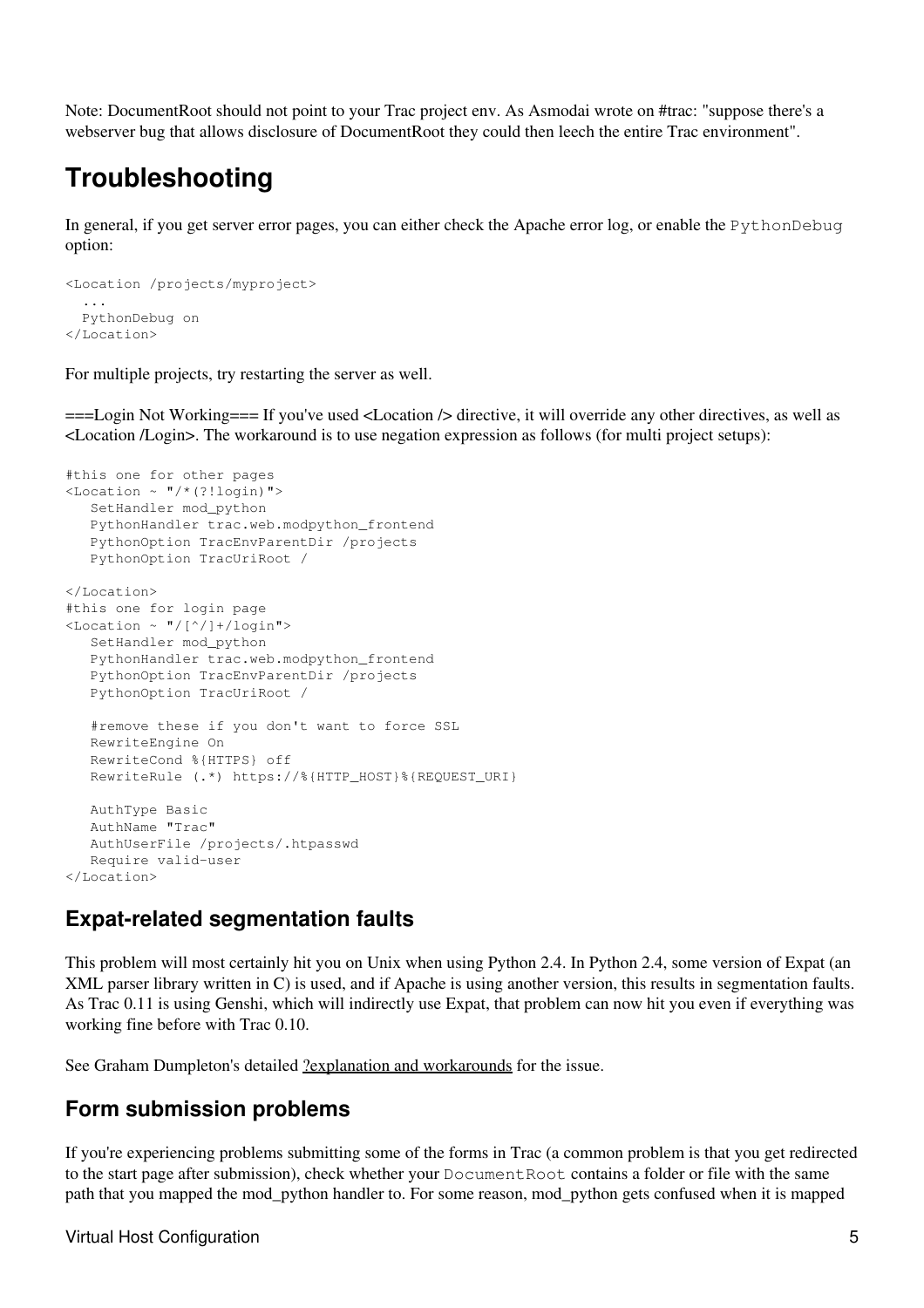Note: DocumentRoot should not point to your Trac project env. As Asmodai wrote on #trac: "suppose there's a webserver bug that allows disclosure of DocumentRoot they could then leech the entire Trac environment".

## <span id="page-4-0"></span>**Troubleshooting**

In general, if you get server error pages, you can either check the Apache error log, or enable the PythonDebug option:

```
<Location /projects/myproject>
 ...
   PythonDebug on
</Location>
```
For multiple projects, try restarting the server as well.

===Login Not Working=== If you've used <Location /> directive, it will override any other directives, as well as <Location /Login>. The workaround is to use negation expression as follows (for multi project setups):

```
#this one for other pages
\text{<}Location \sim "/*(?!login)">
    SetHandler mod_python
    PythonHandler trac.web.modpython_frontend
    PythonOption TracEnvParentDir /projects
    PythonOption TracUriRoot /
</Location>
#this one for login page
<Location ~ "/[^/]+/login">
    SetHandler mod_python
    PythonHandler trac.web.modpython_frontend
    PythonOption TracEnvParentDir /projects
    PythonOption TracUriRoot /
    #remove these if you don't want to force SSL
    RewriteEngine On 
    RewriteCond %{HTTPS} off
    RewriteRule (.*) https://%{HTTP_HOST}%{REQUEST_URI}
   AuthType Basic
   AuthName "Trac"
    AuthUserFile /projects/.htpasswd
    Require valid-user
</Location>
```
## <span id="page-4-1"></span>**Expat-related segmentation faults**

This problem will most certainly hit you on Unix when using Python 2.4. In Python 2.4, some version of Expat (an XML parser library written in C) is used, and if Apache is using another version, this results in segmentation faults. As Trac 0.11 is using Genshi, which will indirectly use Expat, that problem can now hit you even if everything was working fine before with Trac 0.10.

<span id="page-4-2"></span>See Graham Dumpleton's detailed [?explanation and workarounds](http://www.dscpl.com.au/wiki/ModPython/Articles/ExpatCausingApacheCrash) for the issue.

## **Form submission problems**

If you're experiencing problems submitting some of the forms in Trac (a common problem is that you get redirected to the start page after submission), check whether your DocumentRoot contains a folder or file with the same path that you mapped the mod\_python handler to. For some reason, mod\_python gets confused when it is mapped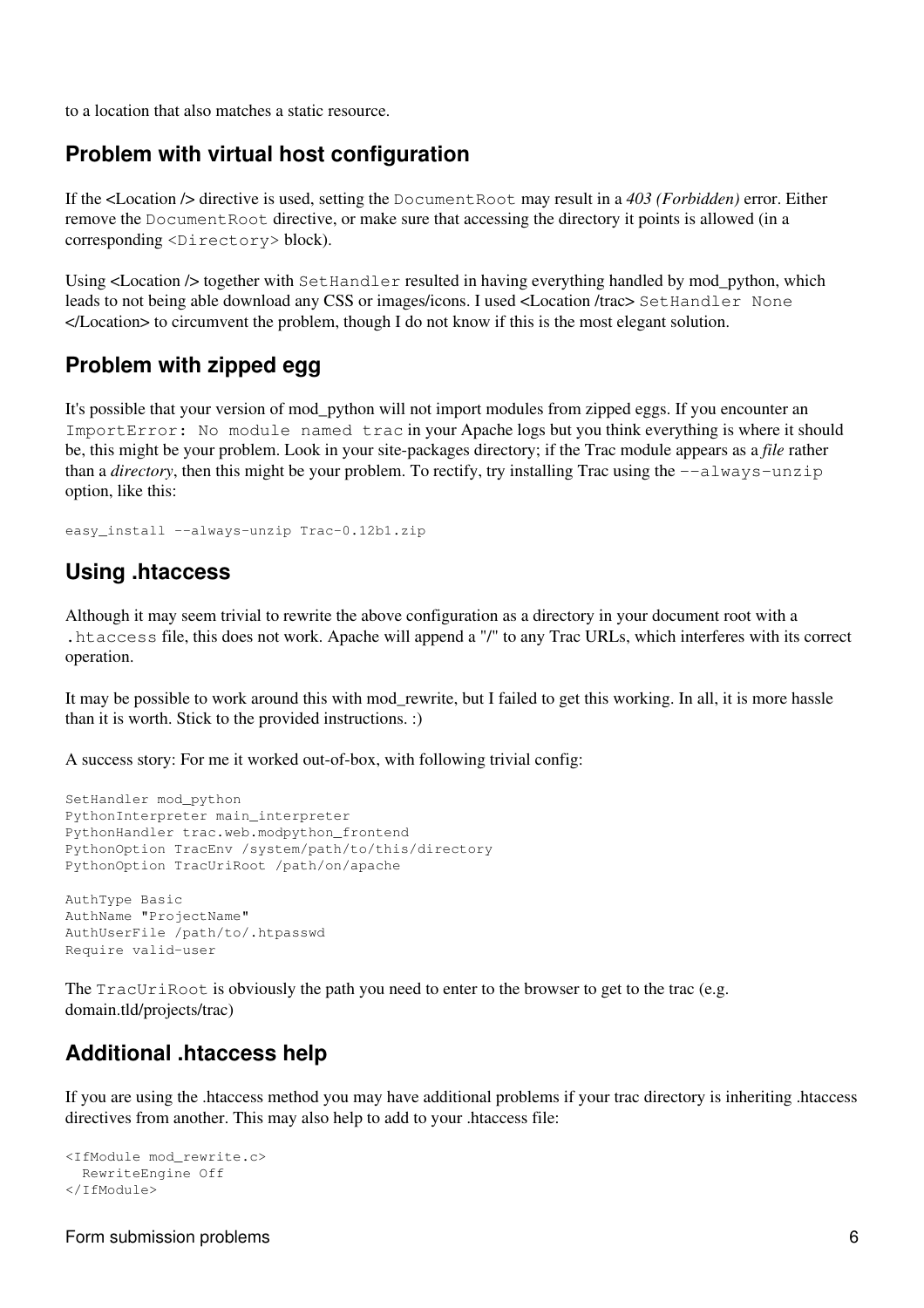<span id="page-5-0"></span>to a location that also matches a static resource.

#### **Problem with virtual host configuration**

If the <Location /> directive is used, setting the DocumentRoot may result in a *403 (Forbidden)* error. Either remove the Document Root directive, or make sure that accessing the directory it points is allowed (in a corresponding <Directory> block).

Using  $\leq$  Location  $\geq$  together with SetHandler resulted in having everything handled by mod python, which leads to not being able download any CSS or images/icons. I used <Location /trac> SetHandler None </Location> to circumvent the problem, though I do not know if this is the most elegant solution.

## <span id="page-5-1"></span>**Problem with zipped egg**

It's possible that your version of mod\_python will not import modules from zipped eggs. If you encounter an ImportError: No module named trac in your Apache logs but you think everything is where it should be, this might be your problem. Look in your site-packages directory; if the Trac module appears as a *file* rather than a *directory*, then this might be your problem. To rectify, try installing Trac using the  $-\text{always}-\text{unzip}$ option, like this:

<span id="page-5-2"></span>easy\_install --always-unzip Trac-0.12b1.zip

### **Using .htaccess**

Although it may seem trivial to rewrite the above configuration as a directory in your document root with a .htaccess file, this does not work. Apache will append a "/" to any Trac URLs, which interferes with its correct operation.

It may be possible to work around this with mod\_rewrite, but I failed to get this working. In all, it is more hassle than it is worth. Stick to the provided instructions. :)

A success story: For me it worked out-of-box, with following trivial config:

```
SetHandler mod_python
PythonInterpreter main_interpreter
PythonHandler trac.web.modpython_frontend 
PythonOption TracEnv /system/path/to/this/directory
PythonOption TracUriRoot /path/on/apache
AuthType Basic
AuthName "ProjectName"
AuthUserFile /path/to/.htpasswd
```
The TracUriRoot is obviously the path you need to enter to the browser to get to the trac (e.g. domain.tld/projects/trac)

## <span id="page-5-3"></span>**Additional .htaccess help**

If you are using the .htaccess method you may have additional problems if your trac directory is inheriting .htaccess directives from another. This may also help to add to your .htaccess file:

```
<IfModule mod_rewrite.c>
   RewriteEngine Off
</IfModule>
```
Require valid-user

<span id="page-5-4"></span>Form submission problems 6 and the state of the state of the state of the state of the state of the state of the state of the state of the state of the state of the state of the state of the state of the state of the state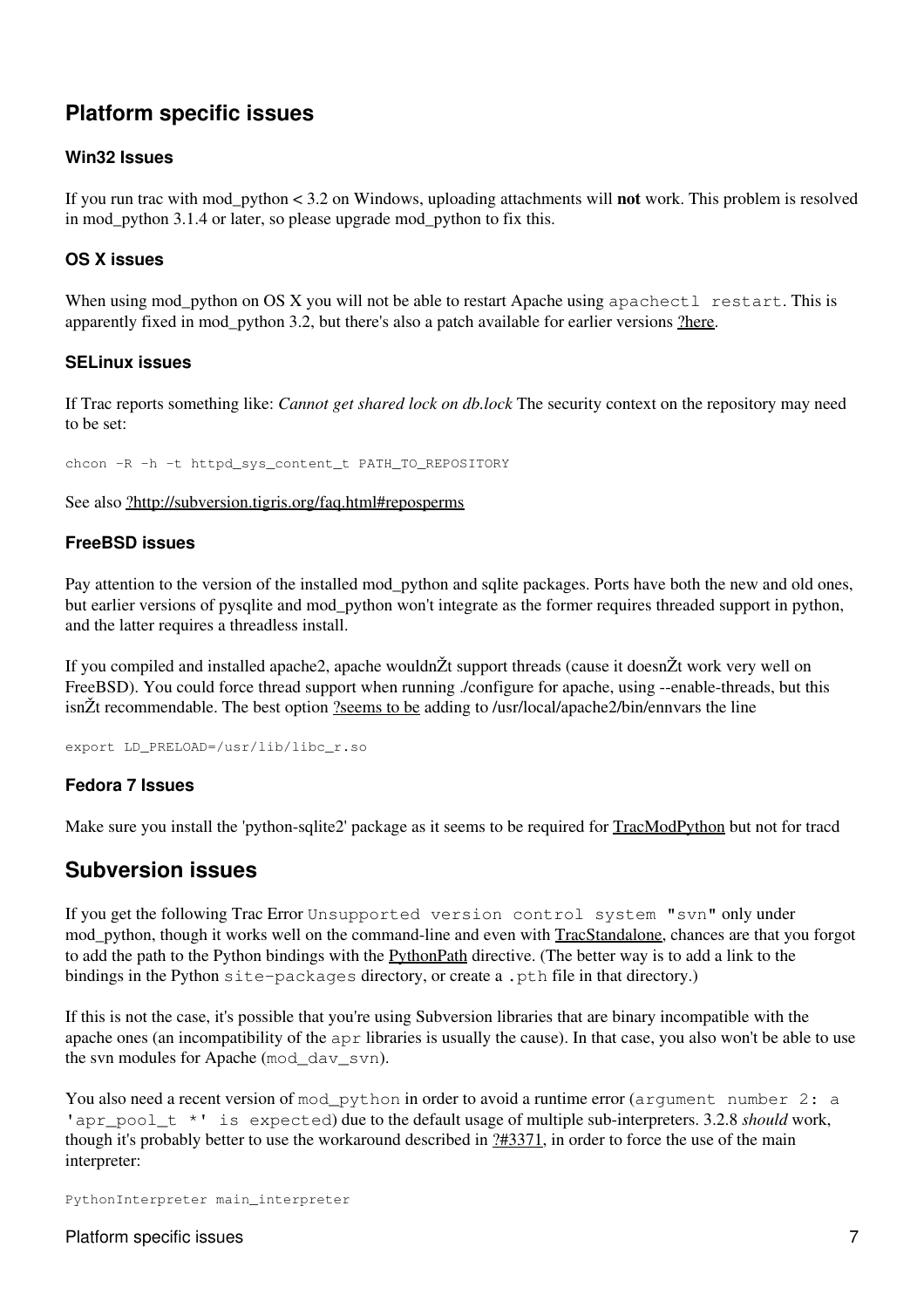## **Platform specific issues**

#### **Win32 Issues**

If you run trac with mod\_python < 3.2 on Windows, uploading attachments will **not** work. This problem is resolved in mod python 3.1.4 or later, so please upgrade mod python to fix this.

#### **OS X issues**

When using mod\_python on OS X you will not be able to restart Apache using apachectl restart. This is apparently fixed in mod\_python 3.2, but there's also a patch available for earlier versions [?here](http://www.dscpl.com.au/projects/vampire/patches.html).

#### **SELinux issues**

If Trac reports something like: *Cannot get shared lock on db.lock* The security context on the repository may need to be set:

chcon -R -h -t httpd sys\_content\_t PATH\_TO\_REPOSITORY

See also [?http://subversion.tigris.org/faq.html#reposperms](http://subversion.tigris.org/faq.html#reposperms)

#### **FreeBSD issues**

Pay attention to the version of the installed mod\_python and sqlite packages. Ports have both the new and old ones, but earlier versions of pysqlite and mod\_python won't integrate as the former requires threaded support in python, and the latter requires a threadless install.

If you compiled and installed apache2, apache wouldnŽt support threads (cause it doesnŽt work very well on FreeBSD). You could force thread support when running ./configure for apache, using --enable-threads, but this isnŽt recommendable. The best option [?seems to be](http://modpython.org/pipermail/mod_python/2006-September/021983.html) adding to /usr/local/apache2/bin/ennvars the line

export LD\_PRELOAD=/usr/lib/libc\_r.so

#### **Fedora 7 Issues**

<span id="page-6-0"></span>Make sure you install the 'python-sqlite2' package as it seems to be required for TracModPython but not for tracd

### **Subversion issues**

If you get the following Trac Error Unsupported version control system "svn" only under mod\_python, though it works well on the command-line and even with TracStandalone, chances are that you forgot to add the path to the Python bindings with the PythonPath directive. (The better way is to add a link to the bindings in the Python site-packages directory, or create a .pth file in that directory.)

If this is not the case, it's possible that you're using Subversion libraries that are binary incompatible with the apache ones (an incompatibility of the apr libraries is usually the cause). In that case, you also won't be able to use the svn modules for Apache (mod\_dav\_svn).

You also need a recent version of mod python in order to avoid a runtime error (argument number 2: a 'apr\_pool t \*' is expected) due to the default usage of multiple sub-interpreters. 3.2.8 *should* work, though it's probably better to use the workaround described in [?#3371,](http://trac.edgewall.org/intertrac/%233371) in order to force the use of the main interpreter:

PythonInterpreter main\_interpreter

Platform specific issues 7